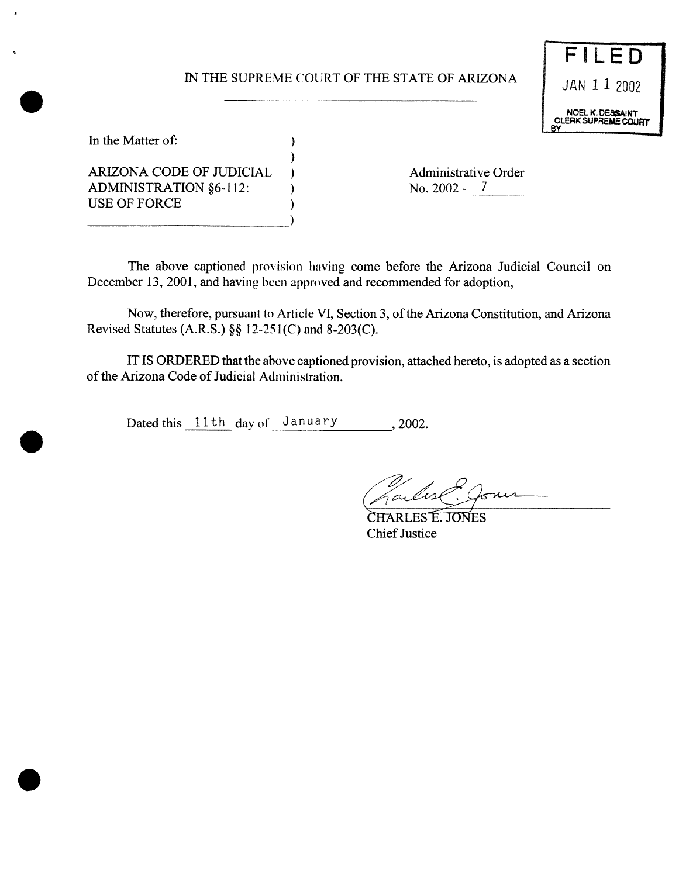# IN THE SUPREME COURT OF THE STATE OF ARIZONA  $JAN$  1 2002



In the Matter of:

ARIZONA CODE OF JUDICIAL ) Administrative Order ADMINISTRATION §6-112: ) No. 2002 - 7 USE OF FORCE

\_\_\_\_\_\_\_\_\_\_\_\_\_\_\_\_\_\_\_\_\_\_\_\_\_\_\_\_\_\_\_\_\_\_\_\_\_\_\_\_\_\_\_\_\_\_\_\_\_\_\_\_\_\_\_\_\_\_\_\_\_\_ )

The above captioned provision having come before the Arizona Judicial Council on December 13, 2001, and having been approved and recommended for adoption,

Now, therefore, pursuant to Article VI, Section 3, of the Arizona Constitution, and Arizona Revised Statutes (A.R.S.) §§ 12-251(C) and 8-203(C).

IT IS ORDERED that the above captioned provision, attached hereto, is adopted as a section of the Arizona Code of Judicial Administration.

Dated this 11th day of January , 2002.

)

 $\lambda$ 

CHARLES E. JONES **Chief Justice**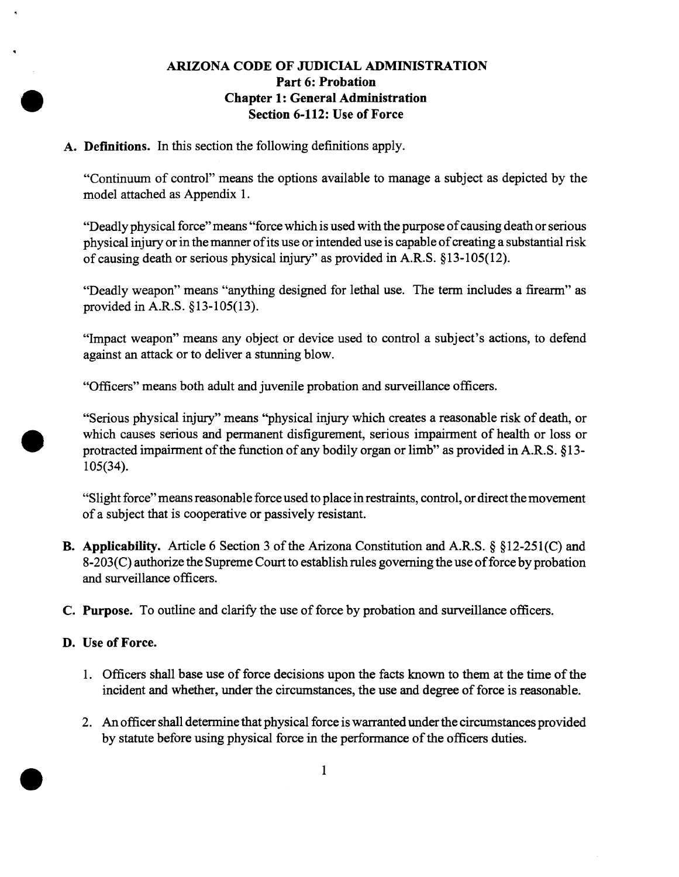### **ARIZONA CODE OF JUDICIAL ADMINISTRATION Part 6: Probation Chapter 1: General Administration Section 6-112: Use of Force**

**A. Defmitions. In** this section the following definitions apply.

"Continuum of control" means the options available to manage **a** subject as depicted by the model attached as Appendix 1.

"Deadly physical force" means "force which is used with the purpose of causing death or serious physical injury or in the manner of its use or intended use is capable of creating a substantial risk of causing death or serious physical injury" as provided in A.R.S.  $§13-105(12)$ .

"Deadly weapon" means "anything designed for lethal use. The termincludes a firearm" as provided in A.R.S. § 13-105(13).

"Impact weapon" means any object or device used to control a subject's actions, to defend against an attack or to deliver a stunning blow.

"Officers" means both adult and juvenile probation and surveillance officers.

"Serious physical injury" means "physical injury which creates a reasonable risk of death, or which causes serious and permanent disfigurement, serious impairment of health or loss or protracted impairment of the function of any bodily organ or limb" as provided in A.R.S.  $$13-$ *105(34).*

"Slight force" means reasonable force used to place in restraints, control, or direct the movement ofa subject that is cooperative or passively resistant.

- B. Applicability. Article 6 Section 3 of the Arizona Constitution and A.R.S. § §12-251(C) and  $8-203(C)$  authorize the Supreme Court to establish rules governing the use of force by probation and surveillance officers.
- C. Purpose. To outline and clarify the use of force by probation and surveillance officers.
- D. Use of Force.
	- 1. Officers shall base use of force decisions upon the facts known to them at the time of the incident and whether, under the circumstances, the use and degree of force is reasonable.
	- 2. An officer shall determine that physical force is warranted under the circumstances provided by statute before using physical force in the performance of the officers duties.

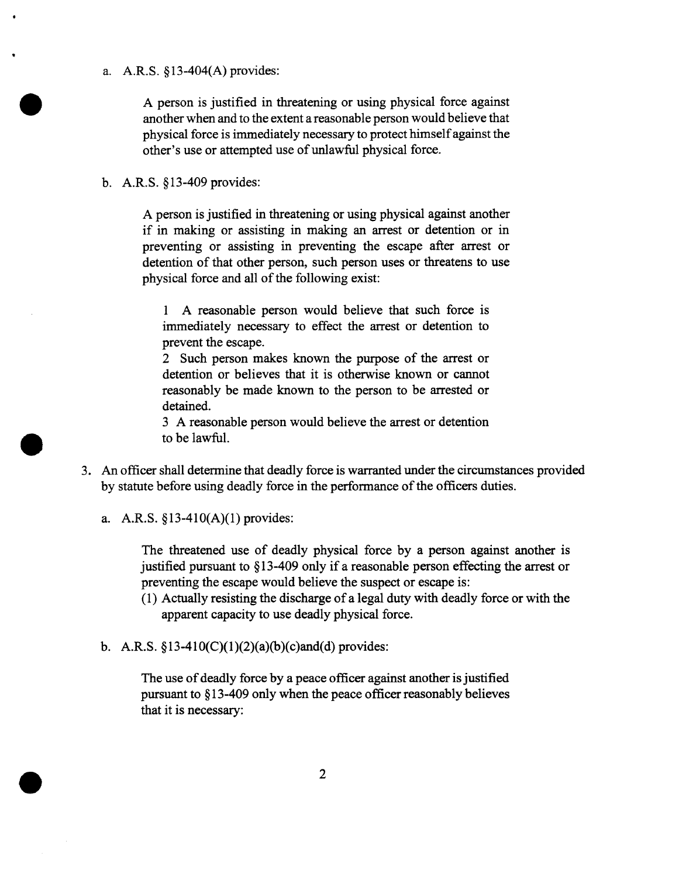#### a. A.R.S. § 13-404(A) provides:

A person is justified in threatening or using physical force against another when and to the extent a reasonable person would believe that physical force is immediately necessary to protect himself against the other's use or attempted use of unlawful physical force.

#### b. A.R.S. § 13-409 provides:

A person is justified in threatening or using physical against another if in making or assisting in making an arrest or detention or in preventing or assisting in preventing the escape after arrest or detention of that other person, such person uses or threatens to use physical force and all of the following exist:

<sup>1</sup> A reasonable person would believe that such force is immediately necessary to effect the arrest or detention to prevent the escape.

2 Such person makes known the purpose of the arrest or detention or believes that it is otherwise known or cannot reasonably be made known to the person to be arrested or detained.

3 A reasonable person would believe the arrest or detention to be lawful.

- 3. An officer shall determine that deadly force is warranted under the circumstances provided by statute before using deadly force in the performance of the officers duties.
	- a. A.R.S. § 13-410(A)(1) provides:

The threatened use of deadly physical force by a person against another is justified pursuant to § 13-409 only if a reasonable person effecting the arrest or preventing the escape would believe the suspect or escape is:

- (1) Actually resisting the discharge ofa legal duty with deadly force or with the apparent capacity to use deadly physical force.
- b. A.R.S.  $$13-410(C)(1)(2)(a)(b)(c)$  and (d) provides:

The use of deadly force by a peace officer against another is justified pursuant to  $$13-409$  only when the peace officer reasonably believes that it is necessary: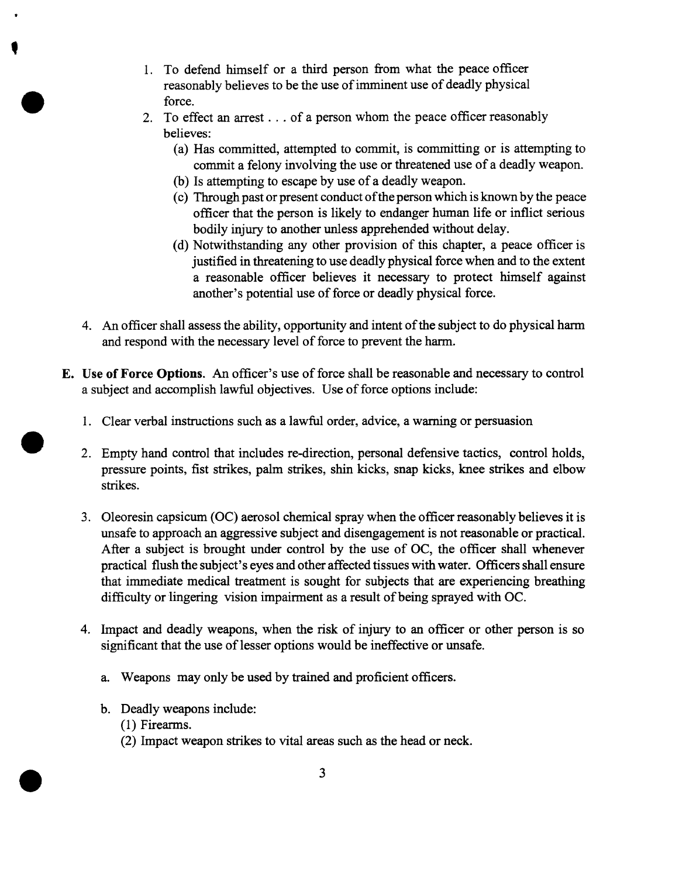- 1. To defend himself or a third person from what the peace officer reasonably believes to be the use of imminent use of deadly physical force.
- 2. To effect an arrest. . . of a person whom the peace officer reasonably believes:
	- (a) Has committed, attempted to commit, is committing or is attempting to commit a felony involving the use or threatened use of a deadly weapon.
	- (b) Is attempting to escape by use of a deadly weapon.
	- (c) Through past or present conduct of the person which is known by the peace officer that the person is likely to endanger human life or inflict serious bodily injury to another unless apprehended without delay.
	- (d) Notwithstanding any other provision of this chapter, a peace officer is justified in threatening to use deadly physical force when and to the extent a reasonable officer believes it necessary to protect himself against another's potential use of force or deadly physical force.
- 4. An officer shall assess the ability, opportunity and intent of the subject to do physical harm and respond with the necessary level of force to prevent the harm.
- E. Use of Force Options. An officer's use of force shall be reasonable and necessary to control a subject and accomplish lawful objectives. Use of force options include:
	- 1. Clear verbal instructions such as a lawful order, advice, a warning or persuasion
	- 2. Empty hand control that includes re-direction, personal defensive tactics, control holds, pressure points, fist strikes, palm strikes, shin kicks, snap kicks, knee strikes and elbow strikes.
	- 3. Oleoresin capsicum (OC) aerosol chemical spray when the officer reasonably believes it is unsafe to approach an aggressive subject and disengagement is not reasonable or practical. After a subject is brought under control by the use of OC, the officer shall whenever practical flush the subject's eyes and other affected tissues with water. Officers shall ensure that immediate medical treatment is sought for subjects that are experiencing breathing difficulty or lingering vision impairment as a result of being sprayed with OC.
	- 4. Impact and deadly weapons, when the risk of injury to an officer or other person is so significant that the use of lesser options would be ineffective or unsafe.
		- a. Weapons may only be used by trained and proficient officers.
		- b. Deadly weapons include: (1) Firearms.
			- (2) Impact weapon strikes to vital areas suchas the head or neck.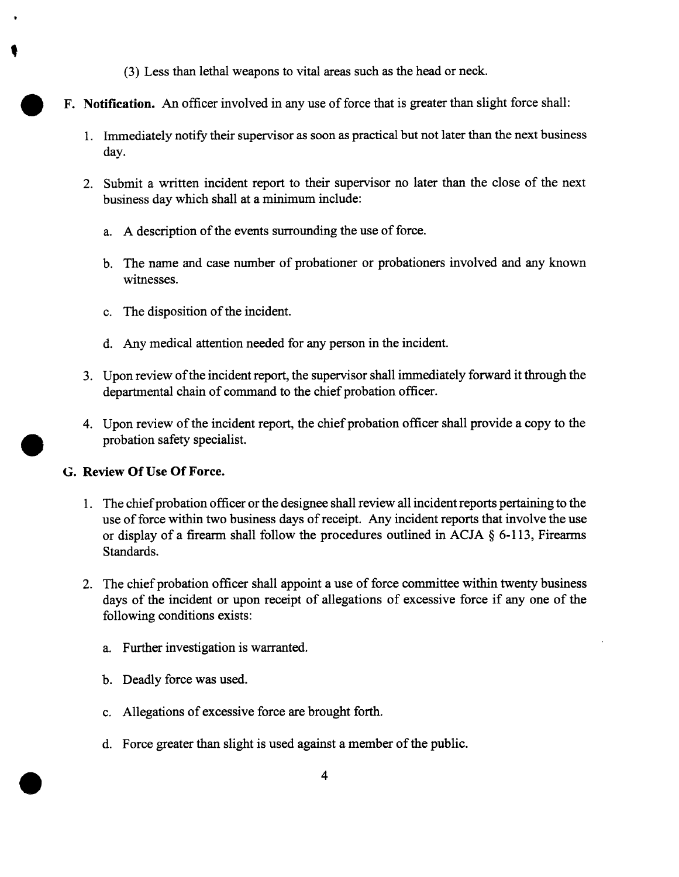- (3) Less than lethal weapons to vital areas such as the head or neck.
- F. Notification. An officer involved in any use of force that is greater than slight force shall:
	- 1. Immediately notify their supervisor as soon as practical but not later than the next business day.
	- 2. Submit a written incident report to their supervisor no later than the close of the next business day which shall at a minimum include:
		- a. A description of the events surrounding the use of force.
		- b. The name and case number of probationer or probationers involved and any known witnesses.
		- c. The disposition of the incident.
		- d. Any medical attention needed for any person in the incident.
	- 3. Upon review of the incident report, the supervisor shall immediately forward it through the departmental chain of command to the chief probation officer.
	- 4. Upon review of the incident report, the chief probation officer shall provide a copy to the probation safety specialist.

### G. Review **OfUse OfForce.**

- 1. The chief probation officer or the designee shall review all incident reports pertaining to the use of force within two business days of receipt. Any incident reports that involve the use or display of a firearm shall follow the procedures outlined in ACJA  $\S$  6-113, Firearms Standards.
- 2. The chief probation officer shall appoint a use of force committee within twenty business days of the incident or upon receipt of allegations of excessive force if any one of the following conditions exists:
	- a. Further investigation is warranted.
	- b. Deadly force was used.
	- c. Allegations of excessive force are brought forth.
	- d. Force greater than slight is used against a member of the public.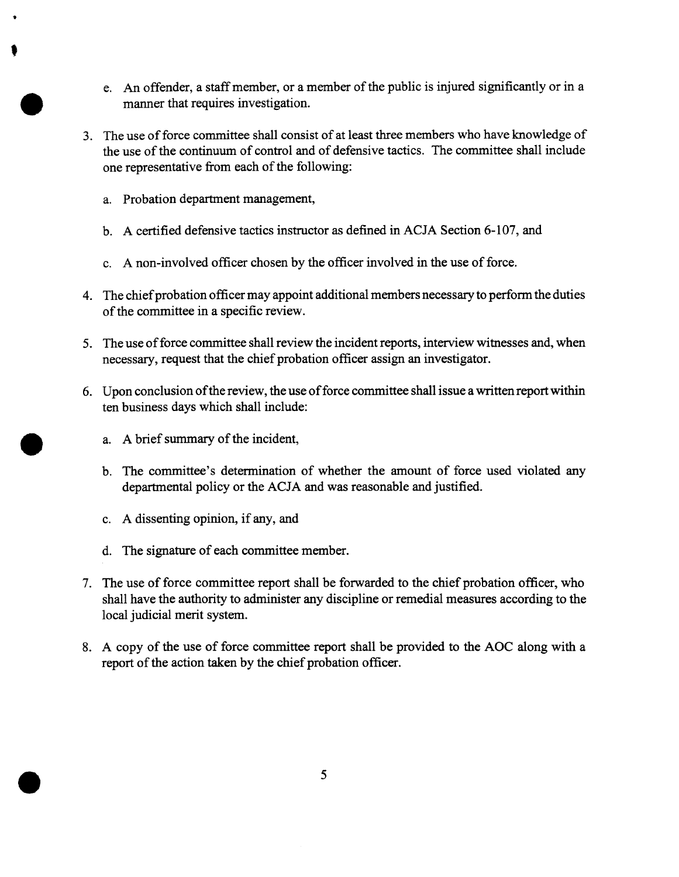- e. An offender, a staff member, or a member of the public is injured significantly or in a manner that requires investigation.
- 3. The use of force committee shall consist of at least three members who have knowledge of the use of the continuum of control and of defensive tactics. The committee shall include one representative from each of the following:
	- a. Probation department management,
	- b. A certified defensive tactics instructor as defined in ACJA Section 6-107, and
	- c. A non-involved officer chosen by the officer involved in the use of force.
- 4. The chief probation officer may appoint additional members necessary to perform the duties of the committee in a specific review.
- 5. The use of force committee shall review the incident reports, interview witnesses and, when necessary, request that the chief probation officer assign an investigator.
- 6. Upon conclusion of the review, the use of force committee shall issue a written report within ten business days which shall include:
	- a. A brief summary of the incident,
	- b. The committee's determination of whether the amount of force used violated any departmental policy or the ACJA and was reasonable and justified.
	- c. A dissenting opinion, if any, and
	- d. The signature of each committee member.
- 7. The use of force committee report shall be forwarded to the chief probation officer, who shall have the authority to administer any discipline or remedial measures according to the local judicial merit system.
- 8. A copy of the use of force committee report shall be provided to the AOC along with a report of the action taken by the chief probation officer.